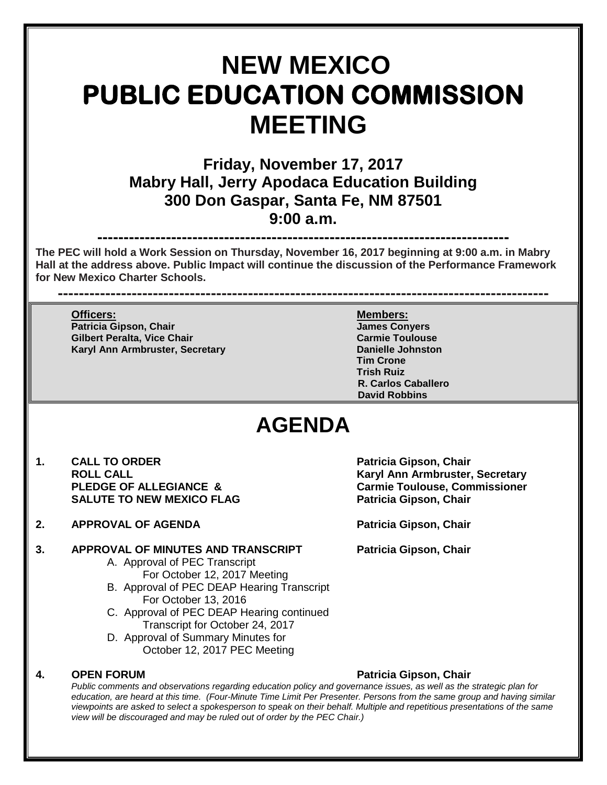# **NEW MEXICO PUBLIC EDUCATION COMMISSION MEETING**

**Friday, November 17, 2017 Mabry Hall, Jerry Apodaca Education Building 300 Don Gaspar, Santa Fe, NM 87501 9:00 a.m.**

**------------------------------------------------------------------------------ The PEC will hold a Work Session on Thursday, November 16, 2017 beginning at 9:00 a.m. in Mabry Hall at the address above. Public Impact will continue the discussion of the Performance Framework for New Mexico Charter Schools.** 

**---------------------------------------------------------------------------------------------**

**Officers: Members: Patricia Gipson, Chair James Conyers Gilbert Peralta, Vice Chair Carmie Toulouse Karyl Ann Armbruster, Secretary** 

**Tim Crone Trish Ruiz R. Carlos Caballero David Robbins**

## **AGENDA**

- 1. **CALL TO ORDER 1. CALL TO ORDER Patricia Gipson, Chair**<br>ROLL CALL **SALUTE TO NEW MEXICO FLAG PARTLE PARTICIA PATRICIA Gipson, Chair**
- **2. APPROVAL OF AGENDA Patricia Gipson, Chair**

### **3. APPROVAL OF MINUTES AND TRANSCRIPT Patricia Gipson, Chair**

- A. Approval of PEC Transcript For October 12, 2017 Meeting
- B. Approval of PEC DEAP Hearing Transcript For October 13, 2016
- C. Approval of PEC DEAP Hearing continued Transcript for October 24, 2017
- D. Approval of Summary Minutes for October 12, 2017 PEC Meeting

### **4. OPEN FORUM Patricia Gipson, Chair**

**ROLL CALL Karyl Ann Armbruster, Secretary Carmie Toulouse, Commissioner** 

*Public comments and observations regarding education policy and governance issues, as well as the strategic plan for education, are heard at this time. (Four-Minute Time Limit Per Presenter. Persons from the same group and having similar viewpoints are asked to select a spokesperson to speak on their behalf. Multiple and repetitious presentations of the same view will be discouraged and may be ruled out of order by the PEC Chair.)*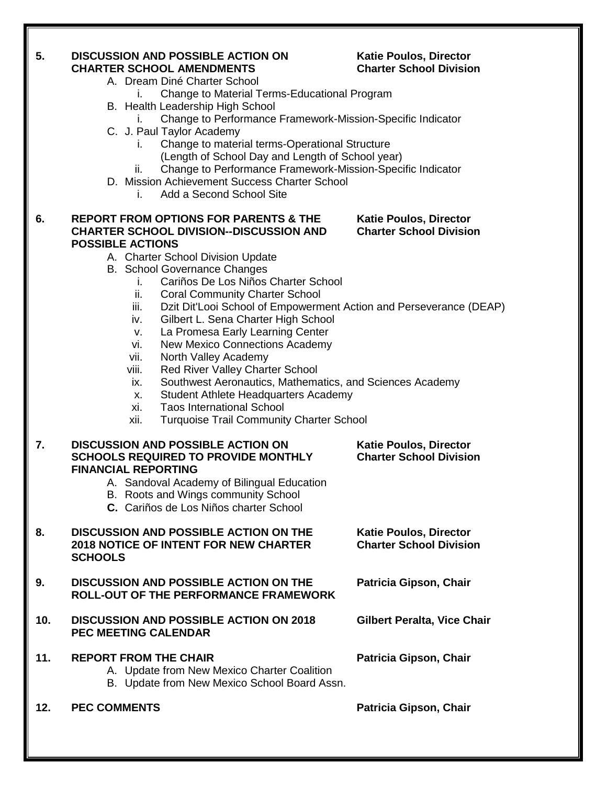### **5. DISCUSSION AND POSSIBLE ACTION ON Katie Poulos, Director CHARTER SCHOOL AMENDMENTS Charter School Division**

- A. Dream Diné Charter School
	- i. Change to Material Terms-Educational Program
- B. Health Leadership High School
	- i. Change to Performance Framework-Mission-Specific Indicator
- C. J. Paul Taylor Academy
	- i. Change to material terms-Operational Structure
		- (Length of School Day and Length of School year)
	- ii. Change to Performance Framework-Mission-Specific Indicator
- D. Mission Achievement Success Charter School
	- i. Add a Second School Site

### **6. REPORT FROM OPTIONS FOR PARENTS & THE Katie Poulos, Director CHARTER SCHOOL DIVISION--DISCUSSION AND Charter School Division POSSIBLE ACTIONS**

- A. Charter School Division Update
- B. School Governance Changes
	- i. Cariños De Los Niños Charter School
	- ii. Coral Community Charter School
	- iii. Dzit Dit'Looi School of Empowerment Action and Perseverance (DEAP)
	- iv. Gilbert L. Sena Charter High School
	- v. La Promesa Early Learning Center
	- vi. New Mexico Connections Academy
	- vii. North Valley Academy
	- viii. Red River Valley Charter School
	- ix. Southwest Aeronautics, Mathematics, and Sciences Academy
	- x. Student Athlete Headquarters Academy
	- xi. Taos International School
	- xii. Turquoise Trail Community Charter School

### **7. DISCUSSION AND POSSIBLE ACTION ON** Katie Poulos, Director<br>SCHOOLS REQUIRED TO PROVIDE MONTHLY Charter School Division **SCHOOLS REQUIRED TO PROVIDE MONTHLY FINANCIAL REPORTING** A. Sandoval Academy of Bilingual Education B. Roots and Wings community School **C.** Cariños de Los Niños charter School 8. **DISCUSSION AND POSSIBLE ACTION ON THE** Katie Poulos, Director<br>2018 NOTICE OF INTENT FOR NEW CHARTER Charter School Division **2018 NOTICE OF INTENT FOR NEW CHARTER SCHOOLS 9. DISCUSSION AND POSSIBLE ACTION ON THE Patricia Gipson, Chair ROLL-OUT OF THE PERFORMANCE FRAMEWORK 10. DISCUSSION AND POSSIBLE ACTION ON 2018 Gilbert Peralta, Vice Chair PEC MEETING CALENDAR 11. REPORT FROM THE CHAIR Patricia Gipson, Chair** A. Update from New Mexico Charter Coalition B. Update from New Mexico School Board Assn. **12. PEC COMMENTS Patricia Gipson, Chair**